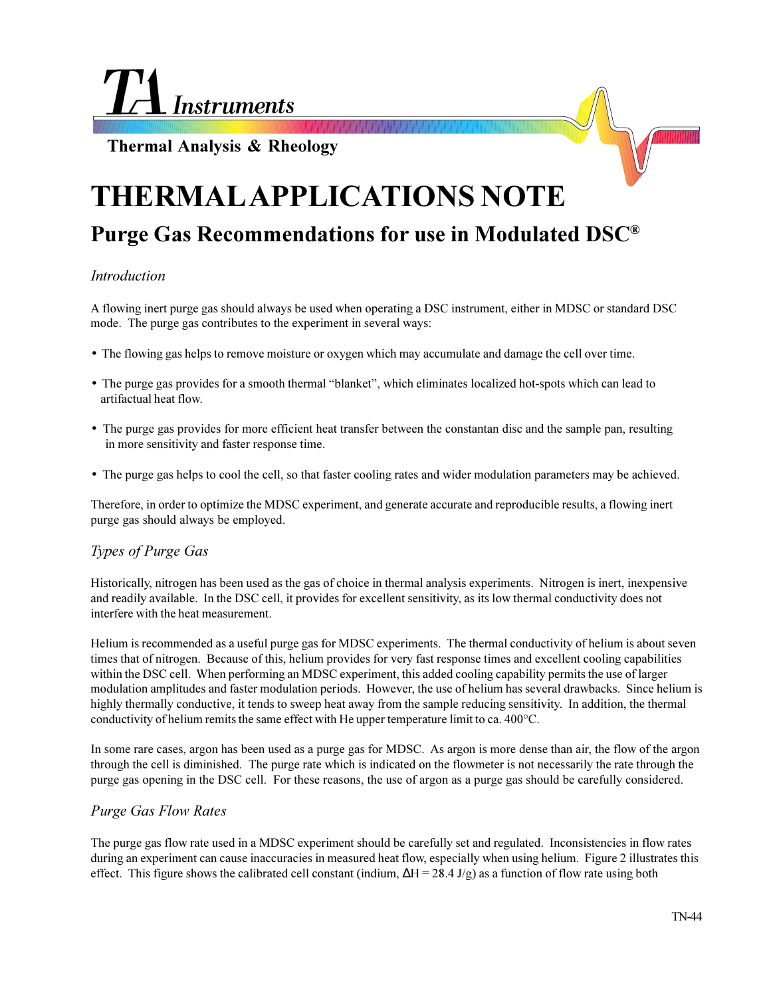**Instruments** 

**Thermal Analysis & Rheology**

# **THERMAL APPLICATIONS NOTE Purge Gas Recommendations for use in Modulated DSC®**

## *Introduction*

A flowing inert purge gas should always be used when operating a DSC instrument, either in MDSC or standard DSC mode. The purge gas contributes to the experiment in several ways:

- The flowing gas helps to remove moisture or oxygen which may accumulate and damage the cell over time.
- The purge gas provides for a smooth thermal "blanket", which eliminates localized hot-spots which can lead to artifactual heat flow.
- The purge gas provides for more efficient heat transfer between the constantan disc and the sample pan, resulting in more sensitivity and faster response time.
- The purge gas helps to cool the cell, so that faster cooling rates and wider modulation parameters may be achieved.

Therefore, in order to optimize the MDSC experiment, and generate accurate and reproducible results, a flowing inert purge gas should always be employed.

## *Types of Purge Gas*

Historically, nitrogen has been used as the gas of choice in thermal analysis experiments. Nitrogen is inert, inexpensive and readily available. In the DSC cell, it provides for excellent sensitivity, as its low thermal conductivity does not interfere with the heat measurement.

Helium is recommended as a useful purge gas for MDSC experiments. The thermal conductivity of helium is about seven times that of nitrogen. Because of this, helium provides for very fast response times and excellent cooling capabilities within the DSC cell. When performing an MDSC experiment, this added cooling capability permits the use of larger modulation amplitudes and faster modulation periods. However, the use of helium has several drawbacks. Since helium is highly thermally conductive, it tends to sweep heat away from the sample reducing sensitivity. In addition, the thermal conductivity of helium remits the same effect with He upper temperature limit to ca. 400°C.

In some rare cases, argon has been used as a purge gas for MDSC. As argon is more dense than air, the flow of the argon through the cell is diminished. The purge rate which is indicated on the flowmeter is not necessarily the rate through the purge gas opening in the DSC cell. For these reasons, the use of argon as a purge gas should be carefully considered.

## *Purge Gas Flow Rates*

The purge gas flow rate used in a MDSC experiment should be carefully set and regulated. Inconsistencies in flow rates during an experiment can cause inaccuracies in measured heat flow, especially when using helium. Figure 2 illustrates this effect. This figure shows the calibrated cell constant (indium,  $\Delta H = 28.4$  J/g) as a function of flow rate using both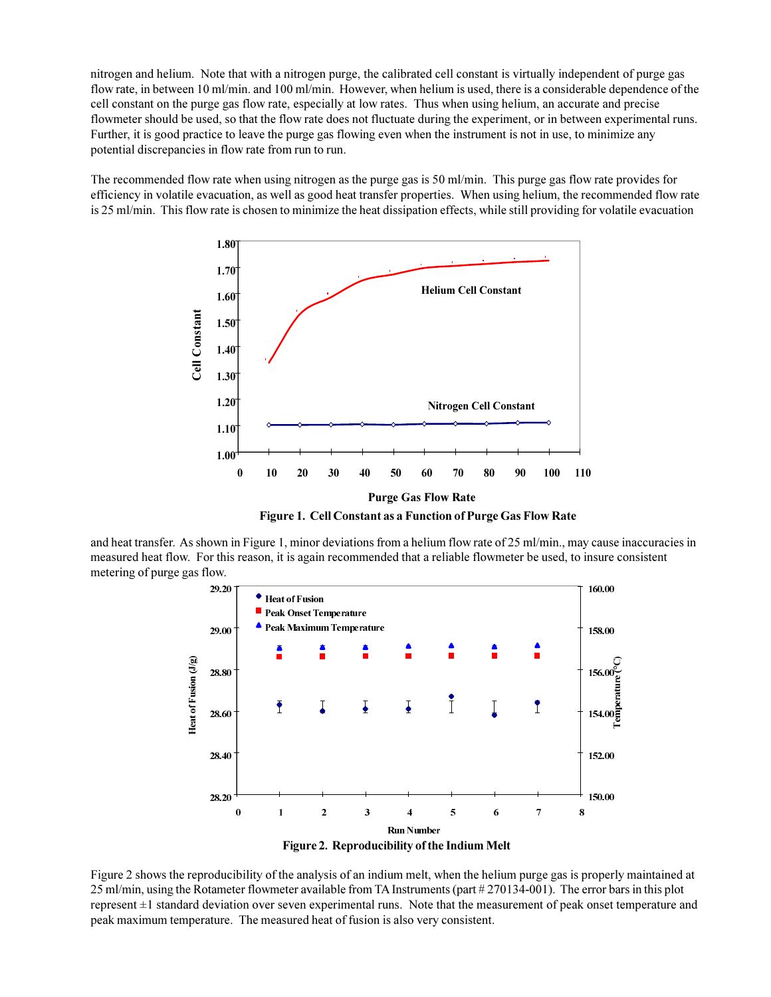nitrogen and helium. Note that with a nitrogen purge, the calibrated cell constant is virtually independent of purge gas flow rate, in between 10 ml/min. and 100 ml/min. However, when helium is used, there is a considerable dependence of the cell constant on the purge gas flow rate, especially at low rates. Thus when using helium, an accurate and precise flowmeter should be used, so that the flow rate does not fluctuate during the experiment, or in between experimental runs. Further, it is good practice to leave the purge gas flowing even when the instrument is not in use, to minimize any potential discrepancies in flow rate from run to run.

The recommended flow rate when using nitrogen as the purge gas is 50 ml/min. This purge gas flow rate provides for efficiency in volatile evacuation, as well as good heat transfer properties. When using helium, the recommended flow rate is 25 ml/min. This flow rate is chosen to minimize the heat dissipation effects, while still providing for volatile evacuation



**Figure 1. Cell Constant as a Function of Purge Gas Flow Rate**

and heat transfer. As shown in Figure 1, minor deviations from a helium flow rate of 25 ml/min., may cause inaccuracies in measured heat flow. For this reason, it is again recommended that a reliable flowmeter be used, to insure consistent metering of purge gas flow.



Figure 2 shows the reproducibility of the analysis of an indium melt, when the helium purge gas is properly maintained at 25 ml/min, using the Rotameter flowmeter available from TA Instruments (part # 270134-001). The error bars in this plot represent ±1 standard deviation over seven experimental runs. Note that the measurement of peak onset temperature and peak maximum temperature. The measured heat of fusion is also very consistent.